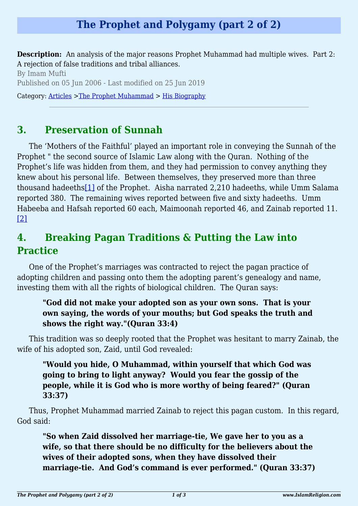**Description:** An analysis of the major reasons Prophet Muhammad had multiple wives. Part 2: A rejection of false traditions and tribal alliances.

By Imam Mufti Published on 05 Jun 2006 - Last modified on 25 Jun 2019 Category: [Articles](http://www.islamreligion.com/articles/) >[The Prophet Muhammad](http://www.islamreligion.com/category/79/) > [His Biography](http://www.islamreligion.com/category/82/)

## **3. Preservation of Sunnah**

<span id="page-0-0"></span>The 'Mothers of the Faithful' played an important role in conveying the Sunnah of the Prophet " the second source of Islamic Law along with the Quran. Nothing of the Prophet's life was hidden from them, and they had permission to convey anything they knew about his personal life. Between themselves, they preserved more than three thousand hadeeths[\[1\]](#page-1-0) of the Prophet. Aisha narrated 2,210 hadeeths, while Umm Salama reported 380. The remaining wives reported between five and sixty hadeeths. Umm Habeeba and Hafsah reported 60 each, Maimoonah reported 46, and Zainab reported 11. [\[2\]](#page-1-1)

# <span id="page-0-1"></span>**4. Breaking Pagan Traditions & Putting the Law into Practice**

One of the Prophet's marriages was contracted to reject the pagan practice of adopting children and passing onto them the adopting parent's genealogy and name, investing them with all the rights of biological children. The Quran says:

#### **"God did not make your adopted son as your own sons. That is your own saying, the words of your mouths; but God speaks the truth and shows the right way."(Quran 33:4)**

This tradition was so deeply rooted that the Prophet was hesitant to marry Zainab, the wife of his adopted son, Zaid, until God revealed:

**"Would you hide, O Muhammad, within yourself that which God was going to bring to light anyway? Would you fear the gossip of the people, while it is God who is more worthy of being feared?" (Quran 33:37)** 

Thus, Prophet Muhammad married Zainab to reject this pagan custom. In this regard, God said:

**"So when Zaid dissolved her marriage-tie, We gave her to you as a wife, so that there should be no difficulty for the believers about the wives of their adopted sons, when they have dissolved their marriage-tie. And God's command is ever performed." (Quran 33:37)**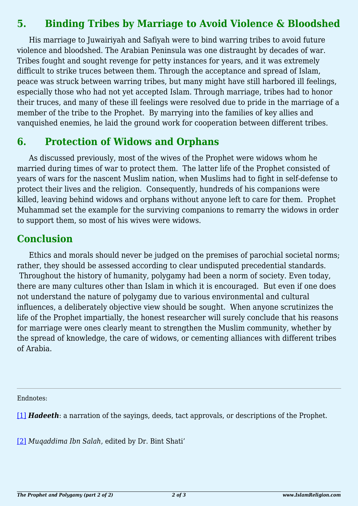## **5. Binding Tribes by Marriage to Avoid Violence & Bloodshed**

His marriage to Juwairiyah and Safiyah were to bind warring tribes to avoid future violence and bloodshed. The Arabian Peninsula was one distraught by decades of war. Tribes fought and sought revenge for petty instances for years, and it was extremely difficult to strike truces between them. Through the acceptance and spread of Islam, peace was struck between warring tribes, but many might have still harbored ill feelings, especially those who had not yet accepted Islam. Through marriage, tribes had to honor their truces, and many of these ill feelings were resolved due to pride in the marriage of a member of the tribe to the Prophet. By marrying into the families of key allies and vanquished enemies, he laid the ground work for cooperation between different tribes.

#### **6. Protection of Widows and Orphans**

As discussed previously, most of the wives of the Prophet were widows whom he married during times of war to protect them. The latter life of the Prophet consisted of years of wars for the nascent Muslim nation, when Muslims had to fight in self-defense to protect their lives and the religion. Consequently, hundreds of his companions were killed, leaving behind widows and orphans without anyone left to care for them. Prophet Muhammad set the example for the surviving companions to remarry the widows in order to support them, so most of his wives were widows.

### **Conclusion**

Ethics and morals should never be judged on the premises of parochial societal norms; rather, they should be assessed according to clear undisputed precedential standards. Throughout the history of humanity, polygamy had been a norm of society. Even today, there are many cultures other than Islam in which it is encouraged. But even if one does not understand the nature of polygamy due to various environmental and cultural influences, a deliberately objective view should be sought. When anyone scrutinizes the life of the Prophet impartially, the honest researcher will surely conclude that his reasons for marriage were ones clearly meant to strengthen the Muslim community, whether by the spread of knowledge, the care of widows, or cementing alliances with different tribes of Arabia.

<span id="page-1-0"></span>Endnotes:

[\[1\]](#page-0-0) **Hadeeth**: a narration of the sayings, deeds, tact approvals, or descriptions of the Prophet.

<span id="page-1-1"></span>[\[2\]](#page-0-1) *Muqaddima Ibn Salah*, edited by Dr. Bint Shati'